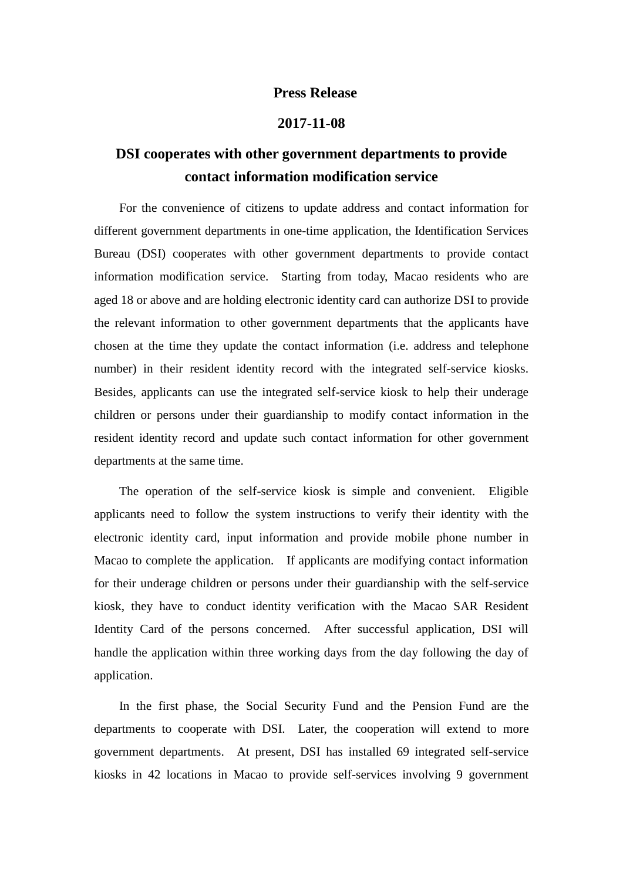## **Press Release**

## **2017-11-08**

## **DSI cooperates with other government departments to provide contact information modification service**

For the convenience of citizens to update address and contact information for different government departments in one-time application, the Identification Services Bureau (DSI) cooperates with other government departments to provide contact information modification service. Starting from today, Macao residents who are aged 18 or above and are holding electronic identity card can authorize DSI to provide the relevant information to other government departments that the applicants have chosen at the time they update the contact information (i.e. address and telephone number) in their resident identity record with the integrated self-service kiosks. Besides, applicants can use the integrated self-service kiosk to help their underage children or persons under their guardianship to modify contact information in the resident identity record and update such contact information for other government departments at the same time.

The operation of the self-service kiosk is simple and convenient. Eligible applicants need to follow the system instructions to verify their identity with the electronic identity card, input information and provide mobile phone number in Macao to complete the application. If applicants are modifying contact information for their underage children or persons under their guardianship with the self-service kiosk, they have to conduct identity verification with the Macao SAR Resident Identity Card of the persons concerned. After successful application, DSI will handle the application within three working days from the day following the day of application.

In the first phase, the Social Security Fund and the Pension Fund are the departments to cooperate with DSI. Later, the cooperation will extend to more government departments. At present, DSI has installed 69 integrated self-service kiosks in 42 locations in Macao to provide self-services involving 9 government